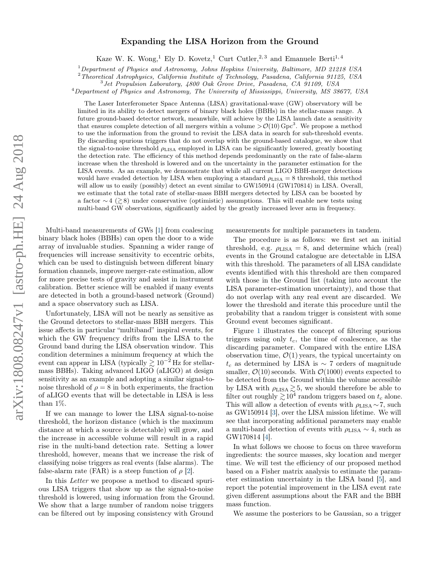## arXiv:1808.08247v1 [astro-ph.HE] 24 Aug 2018 arXiv:1808.08247v1 [astro-ph.HE] 24 Aug 2018

## Expanding the LISA Horizon from the Ground

Kaze W. K. Wong,<sup>1</sup> Ely D. Kovetz,<sup>1</sup> Curt Cutler,<sup>2,3</sup> and Emanuele Berti<sup>1,4</sup>

 $1$  Department of Physics and Astronomy, Johns Hopkins University, Baltimore, MD 21218 USA

<sup>2</sup>Theoretical Astrophysics, California Institute of Technology, Pasadena, California 91125, USA

3 Jet Propulsion Laboratory, 4800 Oak Grove Drive, Pasadena, CA 91109, USA

<sup>4</sup>Department of Physics and Astronomy, The University of Mississippi, University, MS 38677, USA

The Laser Interferometer Space Antenna (LISA) gravitational-wave (GW) observatory will be limited in its ability to detect mergers of binary black holes (BBHs) in the stellar-mass range. A future ground-based detector network, meanwhile, will achieve by the LISA launch date a sensitivity that ensures complete detection of all mergers within a volume  $\mathcal{O}(10)$  Gpc<sup>3</sup>. We propose a method to use the information from the ground to revisit the LISA data in search for sub-threshold events. By discarding spurious triggers that do not overlap with the ground-based catalogue, we show that the signal-to-noise threshold  $ρ_{\text{LISA}}$  employed in LISA can be significantly lowered, greatly boosting the detection rate. The efficiency of this method depends predominantly on the rate of false-alarm increase when the threshold is lowered and on the uncertainty in the parameter estimation for the LISA events. As an example, we demonstrate that while all current LIGO BBH-merger detections would have evaded detection by LISA when employing a standard  $\rho_{\text{LISA}} = 8$  threshold, this method will allow us to easily (possibly) detect an event similar to GW150914 (GW170814) in LISA. Overall, we estimate that the total rate of stellar-mass BBH mergers detected by LISA can be boosted by a factor  $\sim$  4 ( $\gtrsim$  8) under conservative (optimistic) assumptions. This will enable new tests using multi-band GW observations, significantly aided by the greatly increased lever arm in frequency.

Multi-band measurements of GWs [\[1\]](#page-3-0) from coalescing binary black holes (BBHs) can open the door to a wide array of invaluable studies. Spanning a wider range of frequencies will increase sensitivity to eccentric orbits, which can be used to distinguish between different binary formation channels, improve merger-rate estimation, allow for more precise tests of gravity and assist in instrument calibration. Better science will be enabled if many events are detected in both a ground-based network (Ground) and a space observatory such as LISA.

Unfortunately, LISA will not be nearly as sensitive as the Ground detectors to stellar-mass BBH mergers. This issue affects in particular "multiband" inspiral events, for which the GW frequency drifts from the LISA to the Ground band during the LISA observation window. This condition determines a minimum frequency at which the event can appear in LISA (typically  $\gtrsim 10^{-2}$  Hz for stellarmass BBHs). Taking advanced LIGO (aLIGO) at design sensitivity as an example and adopting a similar signal-tonoise threshold of  $\rho = 8$  in both experiments, the fraction of aLIGO events that will be detectable in LISA is less than 1%.

If we can manage to lower the LISA signal-to-noise threshold, the horizon distance (which is the maximum distance at which a source is detectable) will grow, and the increase in accessible volume will result in a rapid rise in the multi-band detection rate. Setting a lower threshold, however, means that we increase the risk of classifying noise triggers as real events (false alarms). The false-alarm rate (FAR) is a steep function of  $\rho$  [\[2\]](#page-3-1).

In this Letter we propose a method to discard spurious LISA triggers that show up as the signal-to-noise threshold is lowered, using information from the Ground. We show that a large number of random noise triggers can be filtered out by imposing consistency with Ground

measurements for multiple parameters in tandem.

The procedure is as follows: we first set an initial threshold, e.g.  $\rho_{\text{LISA}} = 8$ , and determine which (real) events in the Ground catalogue are detectable in LISA with this threshold. The parameters of all LISA candidate events identified with this threshold are then compared with those in the Ground list (taking into account the LISA parameter-estimation uncertainty), and those that do not overlap with any real event are discarded. We lower the threshold and iterate this procedure until the probability that a random trigger is consistent with some Ground event becomes significant.

Figure [1](#page-1-0) illustrates the concept of filtering spurious triggers using only  $t_c$ , the time of coalescence, as the discarding parameter. Compared with the entire LISA observation time,  $\mathcal{O}(1)$  years, the typical uncertainty on  $t_c$  as determined by LISA is ∼ 7 orders of magnitude smaller,  $\mathcal{O}(10)$  seconds. With  $\mathcal{O}(1000)$  events expected to be detected from the Ground within the volume accessible by LISA with  $\rho_{\text{LISA}} \gtrsim 5$ , we should therefore be able to filter out roughly  $\gtrsim 10^4$  random triggers based on  $t_c$  alone. This will allow a detection of events with  $\rho_{\text{LISA}} \sim 7$ , such as GW150914 [\[3\]](#page-4-0), over the LISA mission lifetime. We will see that incorporating additional parameters may enable a multi-band detection of events with  $\rho_{\text{LISA}} \sim 4$ , such as GW170814 [\[4\]](#page-4-1).

In what follows we choose to focus on three waveform ingredients: the source masses, sky location and merger time. We will test the efficiency of our proposed method based on a Fisher matrix analysis to estimate the parameter estimation uncertainty in the LISA band [\[5\]](#page-4-2), and report the potential improvement in the LISA event rate given different assumptions about the FAR and the BBH mass function.

We assume the posteriors to be Gaussian, so a trigger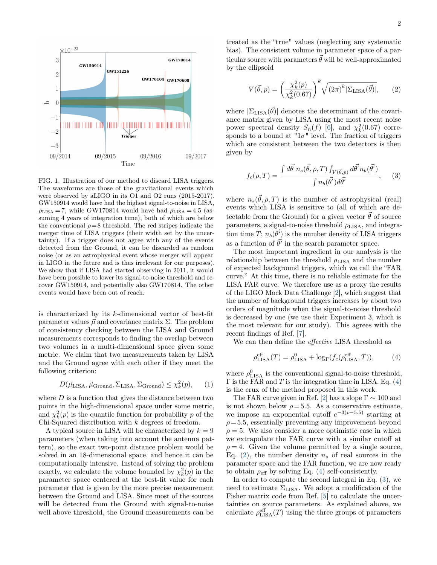<span id="page-1-0"></span>

FIG. 1. Illustration of our method to discard LISA triggers. The waveforms are those of the gravitational events which were observed by aLIGO in its O1 and O2 runs (2015-2017). GW150914 would have had the highest signal-to-noise in LISA,  $\rho_{\text{LISA}} = 7$ , while GW170814 would have had  $\rho_{\text{LISA}} = 4.5$  (assuming 4 years of integration time), both of which are below the conventional  $\rho = 8$  threshold. The red stripes indicate the merger time of LISA triggers (their width set by the uncertainty). If a trigger does not agree with any of the events detected from the Ground, it can be discarded as random noise (or as an astrophysical event whose merger will appear in LIGO in the future and is thus irrelevant for our purposes). We show that if LISA had started observing in 2011, it would have been possible to lower its signal-to-noise threshold and recover GW150914, and potentially also GW170814. The other events would have been out of reach.

is characterized by its k-dimensional vector of best-fit parameter values  $\vec{\mu}$  and covariance matrix Σ. The problem of consistency checking between the LISA and Ground measurements corresponds to finding the overlap between two volumes in a multi-dimensional space given some metric. We claim that two measurements taken by LISA and the Ground agree with each other if they meet the following criterion:

$$
D(\vec{\mu}_{\text{LISA}}, \vec{\mu}_{\text{Ground}}, \Sigma_{\text{LISA}}, \Sigma_{\text{Ground}}) \leq \chi^2_k(p),
$$
 (1)

where  $D$  is a function that gives the distance between two points in the high-dimensional space under some metric, and  $\chi^2_k(p)$  is the quantile function for probability p of the Chi-Squared distribution with k degrees of freedom.

A typical source in LISA will be characterized by  $k = 9$ parameters (when taking into account the antenna pattern), so the exact two-point distance problem would be solved in an 18-dimensional space, and hence it can be computationally intensive. Instead of solving the problem exactly, we calculate the volume bounded by  $\chi^2_k(p)$  in the parameter space centered at the best-fit value for each parameter that is given by the more precise measurement between the Ground and LISA. Since most of the sources will be detected from the Ground with signal-to-noise well above threshold, the Ground measurements can be

treated as the "true" values (neglecting any systematic bias). The consistent volume in parameter space of a particular source with parameters  $\vec{\theta}$  will be well-approximated by the ellipsoid

<span id="page-1-2"></span>
$$
V(\vec{\theta},p) = \left(\frac{\chi_k^2(p)}{\chi_k^2(0.67)}\right)^k \sqrt{(2\pi)^k |\Sigma_{\text{LISA}}(\vec{\theta})|},\qquad(2)
$$

where  $|\Sigma_{\rm LISA}(\vec{\theta})|$  denotes the determinant of the covariance matrix given by LISA using the most recent noise power spectral density  $S_n(f)$  [\[6\]](#page-4-3), and  $\chi^2_k(0.67)$  corresponds to a bound at " $1\sigma$ " level. The fraction of triggers which are consistent between the two detectors is then given by

<span id="page-1-3"></span>
$$
f_c(\rho, T) = \frac{\int d\vec{\theta} \; n_s(\vec{\theta}, \rho, T) \int_{V(\vec{\theta}, p)} d\vec{\theta'} n_b(\vec{\theta'})}{\int n_b(\vec{\theta'}) d\vec{\theta'}} ,\qquad(3)
$$

where  $n_s(\vec{\theta}, \rho, T)$  is the number of astrophysical (real) events which LISA is sensitive to (all of which are detectable from the Ground) for a given vector  $\vec{\theta}$  of source parameters, a signal-to-noise threshold  $\rho_{\text{LISA}}$ , and integration time  $T$ ;  $n_b(\vec{\theta'})$  is the number density of LISA triggers as a function of  $\vec{\theta'}$  in the search parameter space.

The most important ingredient in our analysis is the relationship between the threshold  $\rho_{\rm LISA}$  and the number of expected background triggers, which we call the "FAR curve." At this time, there is no reliable estimate for the LISA FAR curve. We therefore use as a proxy the results of the LIGO Mock Data Challenge [\[2\]](#page-3-1), which suggest that the number of background triggers increases by about two orders of magnitude when the signal-to-noise threshold is decreased by one (we use their Experiment 3, which is the most relevant for our study). This agrees with the recent findings of Ref. [\[7\]](#page-4-4).

We can then define the effective LISA threshold as

<span id="page-1-1"></span>
$$
\rho_{\text{LISA}}^{\text{eff}}(T) = \rho_{\text{LISA}}^0 + \log_{\Gamma}(f_c(\rho_{\text{LISA}}^{\text{eff}}, T)), \tag{4}
$$

where  $\rho_{\rm LISA}^0$  is the conventional signal-to-noise threshold,  $\Gamma$  is the FAR and T is the integration time in LISA. Eq. [\(4\)](#page-1-1) is the crux of the method proposed in this work.

The FAR curve given in Ref. [\[2\]](#page-3-1) has a slope  $\Gamma \sim 100$  and is not shown below  $\rho = 5.5$ . As a conservative estimate, we impose an exponential cutoff  $e^{-3(\rho-5.5)}$  starting at  $\rho = 5.5$ , essentially preventing any improvement beyond  $\rho = 5$ . We also consider a more optimistic case in which we extrapolate the FAR curve with a similar cutoff at  $\rho = 4$ . Given the volume permitted by a single source, Eq. [\(2\)](#page-1-2), the number density  $n_s$  of real sources in the parameter space and the FAR function, we are now ready to obtain  $\rho_{\text{eff}}$  by solving Eq. [\(4\)](#page-1-1) self-consistently.

In order to compute the second integral in Eq. [\(3\)](#page-1-3), we need to estimate  $\Sigma_{\text{LISA}}$ . We adopt a modification of the Fisher matrix code from Ref. [\[5\]](#page-4-2) to calculate the uncertainties on source parameters. As explained above, we calculate  $\rho_{\rm LISA}^{\rm eff}(T)$  using the three groups of parameters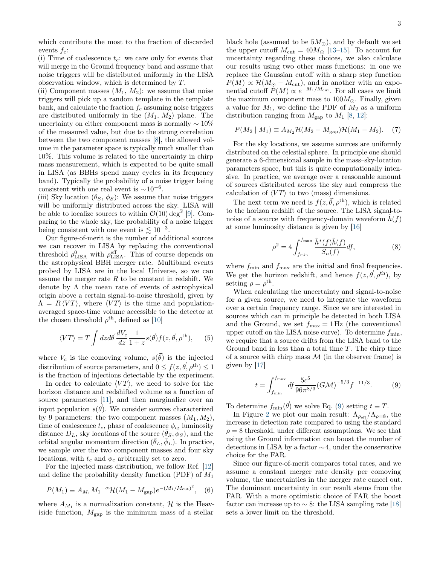which contribute the most to the fraction of discarded events  $f_c$ :

(i) Time of coalescence  $t_c$ : we care only for events that will merge in the Ground frequency band and assume that noise triggers will be distributed uniformly in the LISA observation window, which is determined by T.

(ii) Component masses  $(M_1, M_2)$ : we assume that noise triggers will pick up a random template in the template bank, and calculate the fraction  $f_c$  assuming noise triggers are distributed uniformly in the  $(M_1, M_2)$  plane. The uncertainty on either component mass is normally  $\sim 10\%$ of the measured value, but due to the strong correlation between the two component masses [\[8\]](#page-4-5), the allowed volume in the parameter space is typically much smaller than 10%. This volume is related to the uncertainty in chirp mass measurement, which is expected to be quite small in LISA (as BBHs spend many cycles in its frequency band). Typically the probability of a noise trigger being consistent with one real event is  $\sim 10^{-6}$ .

(iii) Sky location  $(\theta_S, \phi_S)$ : We assume that noise triggers will be uniformly distributed across the sky. LISA will be able to localize sources to within  $\mathcal{O}(10) \deg^2 [9]$  $\mathcal{O}(10) \deg^2 [9]$ . Comparing to the whole sky, the probability of a noise trigger being consistent with one event is  $\lesssim 10^{-3}$ .

Our figure-of-merit is the number of additional sources we can recover in LISA by replacing the conventional threshold  $\rho_{\rm LISA}^0$  with  $\rho_{\rm LISA}^{\rm eff}$ . This of course depends on the astrophysical BBH merger rate. Multiband events probed by LISA are in the local Universe, so we can assume the merger rate  $R$  to be constant in redshift. We denote by  $\Lambda$  the mean rate of events of astrophysical origin above a certain signal-to-noise threshold, given by  $\Lambda = R \langle VT \rangle$ , where  $\langle VT \rangle$  is the time and populationaveraged space-time volume accessible to the detector at the chosen threshold  $\rho^{\text{th}}$ , defined as [\[10\]](#page-4-7)

$$
\langle VT \rangle = T \int dz d\vec{\theta} \frac{dV_c}{dz} \frac{1}{1+z} s(\vec{\theta}) f(z, \vec{\theta}, \rho^{\text{th}}), \quad (5)
$$

where  $V_c$  is the comoving volume,  $s(\vec{\theta})$  is the injected distribution of source parameters, and  $0 \leq f(z, \vec{\theta}, \rho^{\text{th}}) \leq 1$ is the fraction of injections detectable by the experiment.

In order to calculate  $\langle VT \rangle$ , we need to solve for the horizon distance and redshifted volume as a function of source parameters [\[11\]](#page-4-8), and then marginalize over an input population  $s(\vec{\theta})$ . We consider sources characterized by 9 parameters: the two component masses  $(M_1, M_2)$ , time of coalescence  $t_c$ , phase of coalescence  $\phi_c$ , luminosity distance  $D_L$ , sky locations of the source  $(\bar{\theta}_S, \bar{\phi}_S)$ , and the orbital angular momentum direction  $(\bar{\theta}_L, \bar{\phi}_L)$ . In practice, we sample over the two component masses and four sky locations, with  $t_c$  and  $\phi_c$  arbitrarily set to zero.

For the injected mass distribution, we follow Ref. [\[12\]](#page-4-9) and define the probability density function (PDF) of  $M_1$ 

$$
P(M_1) \equiv A_{M_1} M_1^{-\alpha} \mathcal{H}(M_1 - M_{\rm gap}) e^{-(M_1/M_{\rm cut})^2}, \quad (6)
$$

where  $A_{M_1}$  is a normalization constant,  $\mathcal{H}$  is the Heaviside function,  $M_{\text{gap}}$  is the minimum mass of a stellar

black hole (assumed to be  $5M_{\odot}$ ), and by default we set the upper cutoff  $M_{\text{cut}} = 40 M_{\odot}$  [\[13](#page-4-10)[–15\]](#page-4-11). To account for uncertainty regarding these choices, we also calculate our results using two other mass functions: in one we replace the Gaussian cutoff with a sharp step function  $P(M) \propto \mathcal{H}(M_{\odot} - M_{\rm cut})$ , and in another with an exponential cutoff  $P(M) \propto e^{-M_1/M_{\text{cut}}}$ . For all cases we limit the maximum component mass to  $100M_{\odot}$ . Finally, given a value for  $M_1$ , we define the PDF of  $M_2$  as a uniform distribution ranging from  $M_{\text{gap}}$  to  $M_1$  [\[8,](#page-4-5) [12\]](#page-4-9):

$$
P(M_2 \mid M_1) \equiv A_{M_2} \mathcal{H}(M_2 - M_{\rm gap}) \mathcal{H}(M_1 - M_2). \tag{7}
$$

For the sky locations, we assume sources are uniformly distributed on the celestial sphere. In principle one should generate a 6-dimensional sample in the mass–sky-location parameters space, but this is quite computationally intensive. In practice, we average over a reasonable amount of sources distributed across the sky and compress the calculation of  $\langle VT \rangle$  to two (mass) dimensions.

The next term we need is  $f(z, \vec{\theta}, \rho^{\text{th}})$ , which is related to the horizon redshift of the source. The LISA signal-tonoise of a source with frequency-domain waveform  $\hat{h}(f)$ at some luminosity distance is given by [\[16\]](#page-4-12)

$$
\rho^2 = 4 \int_{f_{\min}}^{f_{\max}} \frac{\tilde{h}^*(f)\tilde{h}(f)}{S_n(f)} df,
$$
\n(8)

where  $f_{\text{min}}$  and  $f_{\text{max}}$  are the initial and final frequencies. We get the horizon redshift, and hence  $f(z, \tilde{\theta}, \rho^{\text{th}})$ , by setting  $\rho = \rho^{\text{th}}$ .

When calculating the uncertainty and signal-to-noise for a given source, we need to integrate the waveform over a certain frequency range. Since we are interested in sources which can in principle be detected in both LISA and the Ground, we set  $f_{\text{max}} = 1 \text{ Hz}$  (the conventional upper cutoff on the LISA noise curve). To determine  $f_{\min}$ , we require that a source drifts from the LISA band to the Ground band in less than a total time T. The chirp time of a source with chirp mass  $M$  (in the observer frame) is given by [\[17\]](#page-4-13)

<span id="page-2-0"></span>
$$
t = \int_{f_{\min}}^{f_{\max}} df \frac{5c^5}{96\pi^{8/3}} (G\mathcal{M})^{-5/3} f^{-11/3}.
$$
 (9)

To determine  $f_{\text{min}}(\vec{\theta})$  we solve Eq. [\(9\)](#page-2-0) setting  $t \equiv T$ .

In Figure [2](#page-3-2) we plot our main result:  $\Lambda_{\rho_{eff}}/\Lambda_{\rho=8}$ , the increase in detection rate compared to using the standard  $\rho = 8$  threshold, under different assumptions. We see that using the Ground information can boost the number of detections in LISA by a factor ∼4, under the conservative choice for the FAR.

Since our figure-of-merit compares total rates, and we assume a constant merger rate density per comoving volume, the uncertainties in the merger rate cancel out. The dominant uncertainty in our result stems from the FAR. With a more optimistic choice of FAR the boost factor can increase up to  $\sim$  8: the LISA sampling rate [\[18\]](#page-4-14) sets a lower limit on the threshold.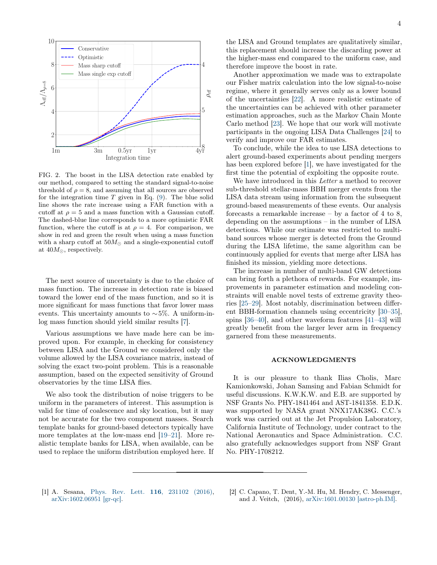<span id="page-3-2"></span>

FIG. 2. The boost in the LISA detection rate enabled by our method, compared to setting the standard signal-to-noise threshold of  $\rho = 8$ , and assuming that all sources are observed for the integration time  $T$  given in Eq. [\(9\)](#page-2-0). The blue solid line shows the rate increase using a FAR function with a cutoff at  $\rho = 5$  and a mass function with a Gaussian cutoff. The dashed-blue line corresponds to a more optimistic FAR function, where the cutoff is at  $\rho = 4$ . For comparison, we show in red and green the result when using a mass function with a sharp cutoff at  $50M_{\odot}$  and a single-exponential cutoff at  $40M_{\odot}$ , respectively.

The next source of uncertainty is due to the choice of mass function. The increase in detection rate is biased toward the lower end of the mass function, and so it is more significant for mass functions that favor lower mass events. This uncertainty amounts to  $\sim$ 5%. A uniform-inlog mass function should yield similar results [\[7\]](#page-4-4).

Various assumptions we have made here can be improved upon. For example, in checking for consistency between LISA and the Ground we considered only the volume allowed by the LISA covariance matrix, instead of solving the exact two-point problem. This is a reasonable assumption, based on the expected sensitivity of Ground observatories by the time LISA flies.

We also took the distribution of noise triggers to be uniform in the parameters of interest. This assumption is valid for time of coalescence and sky location, but it may not be accurate for the two component masses. Search template banks for ground-based detectors typically have more templates at the low-mass end [\[19–](#page-4-15)[21\]](#page-4-16). More realistic template banks for LISA, when available, can be used to replace the uniform distribution employed here. If the LISA and Ground templates are qualitatively similar, this replacement should increase the discarding power at the higher-mass end compared to the uniform case, and therefore improve the boost in rate.

Another approximation we made was to extrapolate our Fisher matrix calculation into the low signal-to-noise regime, where it generally serves only as a lower bound of the uncertainties [\[22\]](#page-4-17). A more realistic estimate of the uncertainties can be achieved with other parameter estimation approaches, such as the Markov Chain Monte Carlo method [\[23\]](#page-4-18). We hope that our work will motivate participants in the ongoing LISA Data Challenges [\[24\]](#page-4-19) to verify and improve our FAR estimates.

To conclude, while the idea to use LISA detections to alert ground-based experiments about pending mergers has been explored before [\[1\]](#page-3-0), we have investigated for the first time the potential of exploiting the opposite route.

We have introduced in this *Letter* a method to recover sub-threshold stellar-mass BBH merger events from the LISA data stream using information from the subsequent ground-based measurements of these events. Our analysis forecasts a remarkable increase  $-$  by a factor of 4 to 8, depending on the assumptions – in the number of LISA detections. While our estimate was restricted to multiband sources whose merger is detected from the Ground during the LISA lifetime, the same algorithm can be continuously applied for events that merge after LISA has finished its mission, yielding more detections.

The increase in number of multi-band GW detections can bring forth a plethora of rewards. For example, improvements in parameter estimation and modeling constraints will enable novel tests of extreme gravity theories [\[25–](#page-4-20)[29\]](#page-4-21). Most notably, discrimination between different BBH-formation channels using eccentricity [\[30–](#page-4-22)[35\]](#page-4-23), spins [\[36–](#page-4-24)[40\]](#page-4-25), and other waveform features [\[41–](#page-4-26)[43\]](#page-4-27) will greatly benefit from the larger lever arm in frequency garnered from these measurements.

## ACKNOWLEDGMENTS

It is our pleasure to thank Ilias Cholis, Marc Kamionkowski, Johan Samsing and Fabian Schmidt for useful discussions. K.W.K.W. and E.B. are supported by NSF Grants No. PHY-1841464 and AST-1841358. E.D.K. was supported by NASA grant NNX17AK38G. C.C.'s work was carried out at the Jet Propulsion Laboratory, California Institute of Technology, under contract to the National Aeronautics and Space Administration. C.C. also gratefully acknowledges support from NSF Grant No. PHY-1708212.

- <span id="page-3-0"></span>[1] A. Sesana, [Phys. Rev. Lett.](http://dx.doi.org/10.1103/PhysRevLett.116.231102) **116**, 231102 (2016), [arXiv:1602.06951 \[gr-qc\].](http://arxiv.org/abs/1602.06951)
- <span id="page-3-1"></span>[2] C. Capano, T. Dent, Y.-M. Hu, M. Hendry, C. Messenger, and J. Veitch, (2016), [arXiv:1601.00130 \[astro-ph.IM\].](http://arxiv.org/abs/1601.00130)